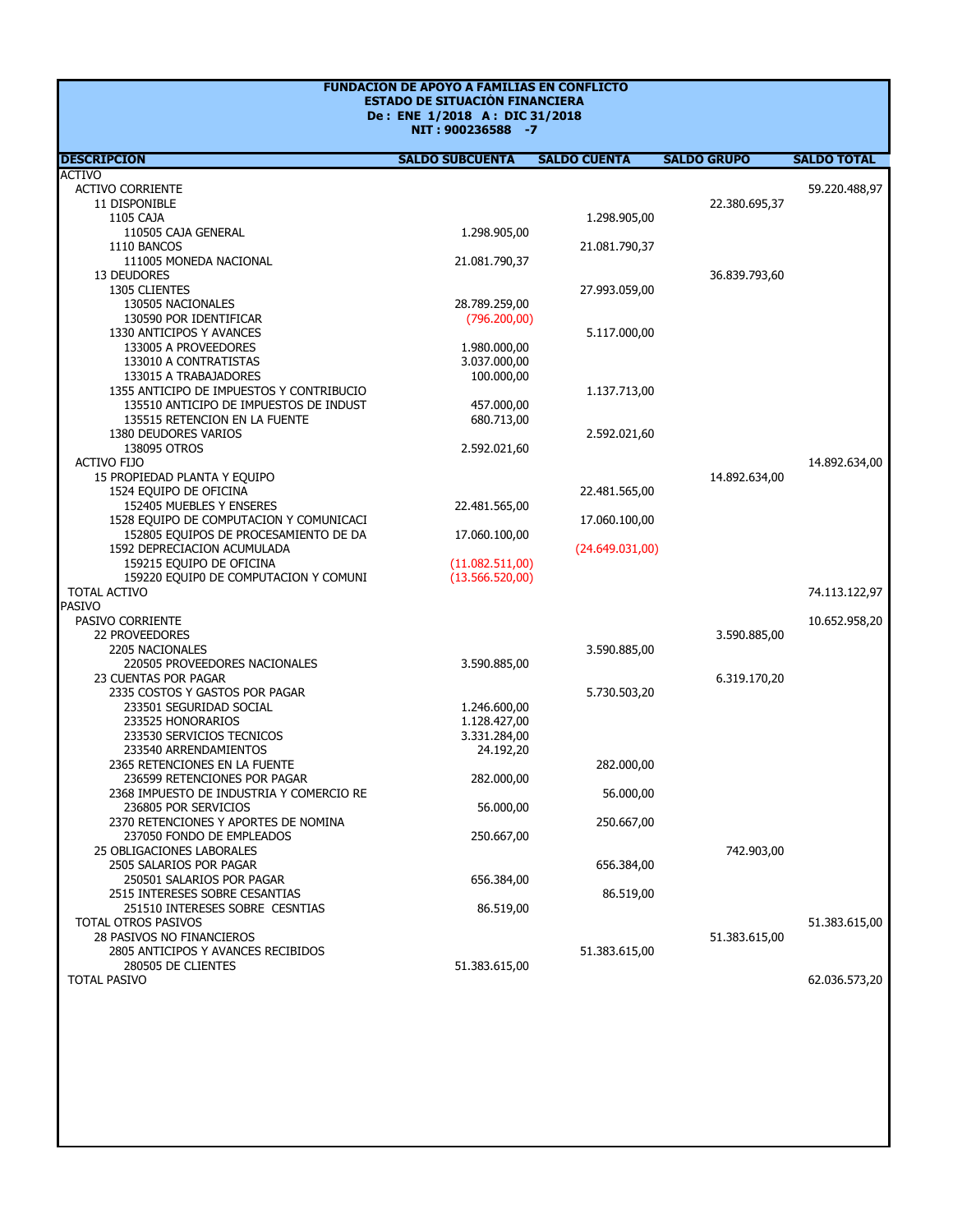## **ESTADO DE SITUACIÓN FINANCIERA FUNDACION DE APOYO A FAMILIAS EN CONFLICTO De : ENE 1/2018 A : DIC 31/2018**

**NIT : 900236588 -7**

| <b>DESCRIPCION</b>                       | <b>SALDO SUBCUENTA</b> | <b>SALDO CUENTA</b> | <b>SALDO GRUPO</b> | <b>SALDO TOTAL</b> |
|------------------------------------------|------------------------|---------------------|--------------------|--------------------|
| ACTIVO                                   |                        |                     |                    |                    |
| ACTIVO CORRIENTE                         |                        |                     |                    | 59.220.488,97      |
| 11 DISPONIBLE                            |                        |                     | 22.380.695,37      |                    |
| 1105 CAJA                                |                        | 1.298.905,00        |                    |                    |
| 110505 CAJA GENERAL                      | 1.298.905,00           |                     |                    |                    |
| 1110 BANCOS                              |                        | 21.081.790,37       |                    |                    |
| 111005 MONEDA NACIONAL                   | 21.081.790,37          |                     |                    |                    |
| 13 DEUDORES                              |                        |                     | 36.839.793,60      |                    |
| 1305 CLIENTES                            |                        | 27.993.059,00       |                    |                    |
| 130505 NACIONALES                        | 28.789.259,00          |                     |                    |                    |
| 130590 POR IDENTIFICAR                   | (796.200,00)           |                     |                    |                    |
| 1330 ANTICIPOS Y AVANCES                 |                        | 5.117.000,00        |                    |                    |
| 133005 A PROVEEDORES                     | 1.980.000,00           |                     |                    |                    |
| 133010 A CONTRATISTAS                    | 3.037.000,00           |                     |                    |                    |
| 133015 A TRABAJADORES                    | 100.000,00             |                     |                    |                    |
| 1355 ANTICIPO DE IMPUESTOS Y CONTRIBUCIO |                        | 1.137.713,00        |                    |                    |
| 135510 ANTICIPO DE IMPUESTOS DE INDUST   | 457.000,00             |                     |                    |                    |
| 135515 RETENCION EN LA FUENTE            | 680.713,00             |                     |                    |                    |
| 1380 DEUDORES VARIOS                     |                        | 2.592.021,60        |                    |                    |
| 138095 OTROS                             | 2.592.021,60           |                     |                    |                    |
| <b>ACTIVO FIJO</b>                       |                        |                     |                    | 14.892.634,00      |
| 15 PROPIEDAD PLANTA Y EQUIPO             |                        |                     | 14.892.634,00      |                    |
| 1524 EQUIPO DE OFICINA                   |                        | 22.481.565,00       |                    |                    |
| 152405 MUEBLES Y ENSERES                 | 22.481.565,00          |                     |                    |                    |
| 1528 EQUIPO DE COMPUTACION Y COMUNICACI  |                        | 17.060.100,00       |                    |                    |
| 152805 EQUIPOS DE PROCESAMIENTO DE DA    | 17.060.100,00          |                     |                    |                    |
| 1592 DEPRECIACION ACUMULADA              |                        | (24.649.031,00)     |                    |                    |
| 159215 EQUIPO DE OFICINA                 | (11.082.511,00)        |                     |                    |                    |
| 159220 EQUIPO DE COMPUTACION Y COMUNI    | (13.566.520,00)        |                     |                    |                    |
| TOTAL ACTIVO                             |                        |                     |                    | 74.113.122,97      |
| PASIVO                                   |                        |                     |                    |                    |
| PASIVO CORRIENTE                         |                        |                     |                    | 10.652.958,20      |
| <b>22 PROVEEDORES</b>                    |                        |                     | 3.590.885,00       |                    |
| 2205 NACIONALES                          |                        | 3.590.885,00        |                    |                    |
| 220505 PROVEEDORES NACIONALES            | 3.590.885,00           |                     |                    |                    |
| 23 CUENTAS POR PAGAR                     |                        |                     | 6.319.170,20       |                    |
| 2335 COSTOS Y GASTOS POR PAGAR           |                        | 5.730.503,20        |                    |                    |
| 233501 SEGURIDAD SOCIAL                  | 1.246.600,00           |                     |                    |                    |
| 233525 HONORARIOS                        | 1.128.427,00           |                     |                    |                    |
| 233530 SERVICIOS TECNICOS                | 3.331.284,00           |                     |                    |                    |
| 233540 ARRENDAMIENTOS                    | 24.192,20              |                     |                    |                    |
| 2365 RETENCIONES EN LA FUENTE            |                        | 282.000,00          |                    |                    |
| 236599 RETENCIONES POR PAGAR             | 282.000,00             |                     |                    |                    |
| 2368 IMPUESTO DE INDUSTRIA Y COMERCIO RE |                        | 56.000,00           |                    |                    |
| 236805 POR SERVICIOS                     | 56.000,00              |                     |                    |                    |
| 2370 RETENCIONES Y APORTES DE NOMINA     |                        | 250.667,00          |                    |                    |
| 237050 FONDO DE EMPLEADOS                | 250.667,00             |                     |                    |                    |
| 25 OBLIGACIONES LABORALES                |                        |                     | 742.903,00         |                    |
| 2505 SALARIOS POR PAGAR                  |                        | 656.384,00          |                    |                    |
| 250501 SALARIOS POR PAGAR                | 656.384,00             |                     |                    |                    |
| 2515 INTERESES SOBRE CESANTIAS           |                        | 86.519,00           |                    |                    |
| 251510 INTERESES SOBRE CESNTIAS          | 86.519,00              |                     |                    |                    |
| TOTAL OTROS PASIVOS                      |                        |                     |                    | 51.383.615,00      |
| 28 PASIVOS NO FINANCIEROS                |                        |                     | 51.383.615,00      |                    |
| 2805 ANTICIPOS Y AVANCES RECIBIDOS       |                        | 51.383.615,00       |                    |                    |
| 280505 DE CLIENTES                       | 51.383.615,00          |                     |                    |                    |
| <b>TOTAL PASIVO</b>                      |                        |                     |                    | 62.036.573,20      |